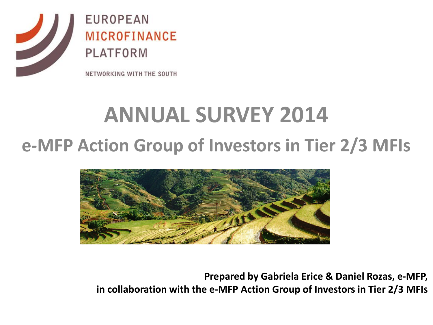

### **ANNUAL SURVEY 2014 e-MFP Action Group of Investors in Tier 2/3 MFIs**



**Prepared by Gabriela Erice & Daniel Rozas, e-MFP, in collaboration with the e-MFP Action Group of Investors in Tier 2/3 MFIs**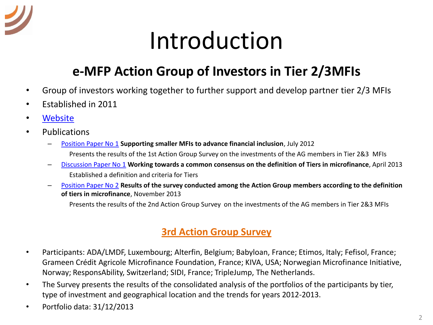

# Introduction

#### **e-MFP Action Group of Investors in Tier 2/3MFIs**

- Group of investors working together to further support and develop partner tier 2/3 MFIs
- Established in 2011
- [Website](http://www.e-mfp.eu/actions-groups/investors-tier-23-mfis)
- Publications
	- [Position Paper No 1](http://www.e-mfp.eu/sites/default/files/resources/2014/02/Action Group Position Paper No_1.pdf) **Supporting smaller MFIs to advance financial inclusion**, July 2012 Presents the results of the 1st Action Group Survey on the investments of the AG members in Tier 2&3 MFIs
	- [Discussion Paper No 1](http://www.e-mfp.eu/sites/default/files/resources/2014/02/Action Group Discussion Paper No_1.pdf) **Working towards a common consensus on the definition of Tiers in microfinance**, April 2013 Established a definition and criteria for Tiers
	- [Position Paper No 2](http://www.e-mfp.eu/sites/default/files/resources/2014/02/Action Group Position Paper No2.pdf) **Results of the survey conducted among the Action Group members according to the definition of tiers in microfinance**, November 2013

Presents the results of the 2nd Action Group Survey on the investments of the AG members in Tier 2&3 MFIs

#### **3rd Action Group Survey**

- Participants: ADA/LMDF, Luxembourg; Alterfin, Belgium; Babyloan, France; Etimos, Italy; Fefisol, France; Grameen Crédit Agricole Microfinance Foundation, France; KIVA, USA; Norwegian Microfinance Initiative, Norway; ResponsAbility, Switzerland; SIDI, France; TripleJump, The Netherlands.
- The Survey presents the results of the consolidated analysis of the portfolios of the participants by tier, type of investment and geographical location and the trends for years 2012-2013.
- Portfolio data: 31/12/2013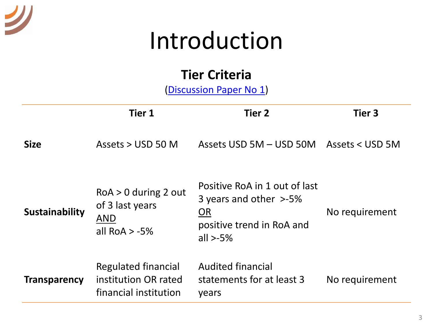## Introduction

#### **Tier Criteria**

[\(Discussion Paper No 1\)](http://www.e-mfp.eu/sites/default/files/resources/2014/02/Action Group Discussion Paper No_1.pdf)

|                     | <b>Tier 1</b>                                                               | <b>Tier 2</b>                                                                                                    | Tier 3         |
|---------------------|-----------------------------------------------------------------------------|------------------------------------------------------------------------------------------------------------------|----------------|
| <b>Size</b>         | Assets $>$ USD 50 M                                                         | Assets USD 5M – USD 50M Assets < USD 5M                                                                          |                |
| Sustainability      | $RoA > 0$ during 2 out<br>of 3 last years<br><b>AND</b><br>all RoA $> -5\%$ | Positive RoA in 1 out of last<br>3 years and other >-5%<br><b>OR</b><br>positive trend in RoA and<br>all $>$ -5% | No requirement |
| <b>Transparency</b> | <b>Regulated financial</b><br>institution OR rated<br>financial institution | <b>Audited financial</b><br>statements for at least 3<br>years                                                   | No requirement |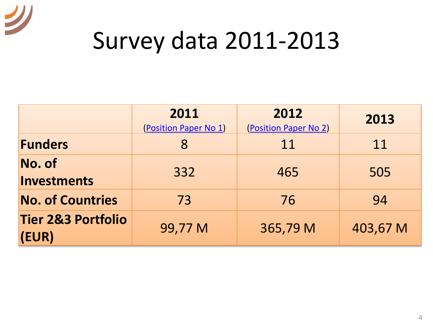

# Survey data 2011-2013

|                                        | 2011<br>(Position Paper No 1) | 2012<br>(Position Paper No 2) | 2013     |
|----------------------------------------|-------------------------------|-------------------------------|----------|
| <b>Funders</b>                         | 8                             | 11                            | 11       |
| No. of<br><b>Investments</b>           | 332                           | 465                           | 505      |
| <b>No. of Countries</b>                | 73                            | 76                            | 94       |
| <b>Tier 2&amp;3 Portfolio</b><br>(EUR) | 99,77 M                       | 365,79 M                      | 403,67 M |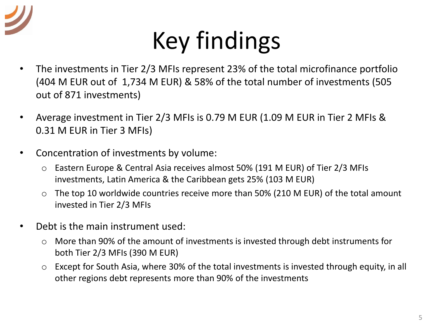

# Key findings

- The investments in Tier 2/3 MFIs represent 23% of the total microfinance portfolio (404 M EUR out of 1,734 M EUR) & 58% of the total number of investments (505 out of 871 investments)
- Average investment in Tier 2/3 MFIs is 0.79 M EUR (1.09 M EUR in Tier 2 MFIs & 0.31 M EUR in Tier 3 MFIs)
- Concentration of investments by volume:
	- o Eastern Europe & Central Asia receives almost 50% (191 M EUR) of Tier 2/3 MFIs investments, Latin America & the Caribbean gets 25% (103 M EUR)
	- $\circ$  The top 10 worldwide countries receive more than 50% (210 M EUR) of the total amount invested in Tier 2/3 MFIs
- Debt is the main instrument used:
	- o More than 90% of the amount of investments is invested through debt instruments for both Tier 2/3 MFIs (390 M EUR)
	- o Except for South Asia, where 30% of the total investments is invested through equity, in all other regions debt represents more than 90% of the investments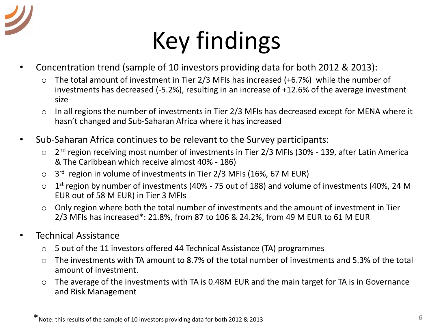

# Key findings

- Concentration trend (sample of 10 investors providing data for both 2012 & 2013):
	- o The total amount of investment in Tier 2/3 MFIs has increased (+6.7%) while the number of investments has decreased (-5.2%), resulting in an increase of +12.6% of the average investment size
	- o In all regions the number of investments in Tier 2/3 MFIs has decreased except for MENA where it hasn't changed and Sub-Saharan Africa where it has increased
- Sub-Saharan Africa continues to be relevant to the Survey participants:
	- 2<sup>nd</sup> region receiving most number of investments in Tier 2/3 MFIs (30% 139, after Latin America & The Caribbean which receive almost 40% - 186)
	- 3<sup>rd</sup> region in volume of investments in Tier 2/3 MFIs (16%, 67 M EUR)
	- 1<sup>st</sup> region by number of investments (40% 75 out of 188) and volume of investments (40%, 24 M EUR out of 58 M EUR) in Tier 3 MFIs
	- o Only region where both the total number of investments and the amount of investment in Tier 2/3 MFIs has increased\*: 21.8%, from 87 to 106 & 24.2%, from 49 M EUR to 61 M EUR
- Technical Assistance
	- o 5 out of the 11 investors offered 44 Technical Assistance (TA) programmes
	- o The investments with TA amount to 8.7% of the total number of investments and 5.3% of the total amount of investment.
	- o The average of the investments with TA is 0.48M EUR and the main target for TA is in Governance and Risk Management

\*Note: this results of the sample of 10 investors providing data for both 2012 & 2013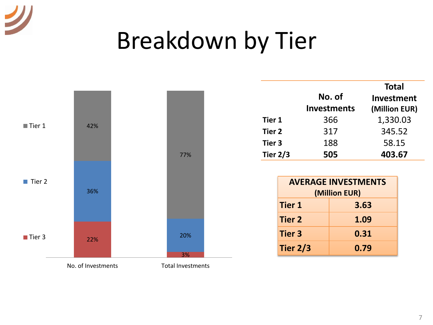

# Breakdown by Tier



|            |                    | <b>Total</b>  |
|------------|--------------------|---------------|
|            | No. of             | Investment    |
|            | <b>Investments</b> | (Million EUR) |
| Tier 1     | 366                | 1,330.03      |
| Tier 2     | 317                | 345.52        |
| Tier 3     | 188                | 58.15         |
| Tier $2/3$ | 505                | 403.67        |

| <b>AVERAGE INVESTMENTS</b><br>(Million EUR) |      |  |  |  |
|---------------------------------------------|------|--|--|--|
| <b>Tier 1</b><br>3.63                       |      |  |  |  |
| <b>Tier 2</b>                               | 1.09 |  |  |  |
| <b>Tier 3</b>                               | 0.31 |  |  |  |
| <b>Tier 2/3</b>                             | 0.79 |  |  |  |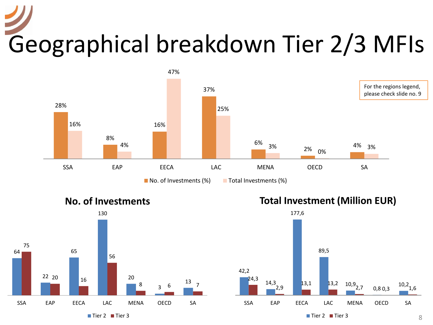# Geographical breakdown Tier 2/3 MFIs





**Total Investment (Million EUR)**

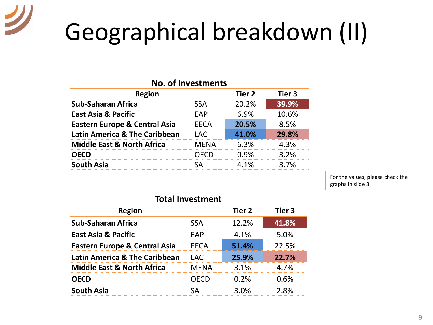# Geographical breakdown (II)

| <b>No. of Investments</b> |        |        |  |  |  |
|---------------------------|--------|--------|--|--|--|
|                           | Tier 2 | Tier 3 |  |  |  |
| <b>SSA</b>                | 20.2%  | 39.9%  |  |  |  |
| EAP                       | 6.9%   | 10.6%  |  |  |  |
| <b>EECA</b>               | 20.5%  | 8.5%   |  |  |  |
| LAC.                      | 41.0%  | 29.8%  |  |  |  |
| <b>MENA</b>               | 6.3%   | 4.3%   |  |  |  |
| OECD                      | 0.9%   | 3.2%   |  |  |  |
| SА                        | 4.1%   | 3.7%   |  |  |  |
|                           |        |        |  |  |  |

For the values, please check the graphs in slide 8

| <b>Total Investment</b>                  |             |        |        |  |  |
|------------------------------------------|-------------|--------|--------|--|--|
| <b>Region</b>                            |             | Tier 2 | Tier 3 |  |  |
| <b>Sub-Saharan Africa</b>                | <b>SSA</b>  | 12.2%  | 41.8%  |  |  |
| <b>East Asia &amp; Pacific</b>           | EAP         | 4.1%   | 5.0%   |  |  |
| <b>Eastern Europe &amp; Central Asia</b> | EECA        | 51.4%  | 22.5%  |  |  |
| <b>Latin America &amp; The Caribbean</b> | <b>LAC</b>  | 25.9%  | 22.7%  |  |  |
| <b>Middle East &amp; North Africa</b>    | <b>MENA</b> | 3.1%   | 4.7%   |  |  |
| <b>OECD</b>                              | OECD        | 0.2%   | 0.6%   |  |  |
| <b>South Asia</b>                        | ςд          | 3.0%   | 2.8%   |  |  |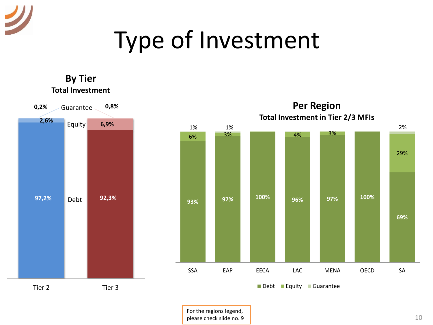# Type of Investment

**By Tier**

**97,2% 92,3% 2,6% 6,9%** Equity **0,2% 0,8%** Guarantee Tier 2 Tier 3 **Total Investment** Debt **93% 97% 100% 96% 97% 100% 69%** 6% 3% 4% 3% 29%  $1\%$  1% 2% SSA EAP EECA LAC MENA OECD SA **Per Region Total Investment in Tier 2/3 MFIs** Debt Equity Guarantee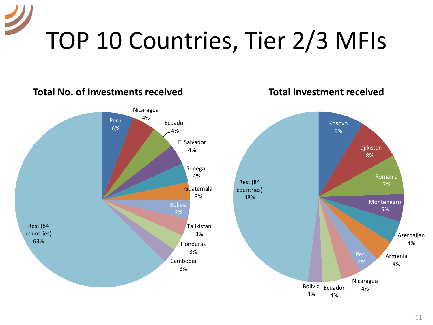# TOP 10 Countries, Tier 2/3 MFIs

#### Kosovo 9% Tajikistan 8% Romania 7% Montenegro 5% Azerbaijan 4% Armenia 4% Peru 4% Nicaragua Ecuador 4% Bolivia 4% 3% Rest (84 countries) 48% **Total Investment received** Peru 6% Nicaragua 4% Ecuador 4% El Salvador 4% Senegal 4% **Guatemala** 3% Bolivia 3% Tajikistan 3% Honduras 3% Cambodia 3% Rest (84 countries) 63% **Total No. of Investments received**

#### 11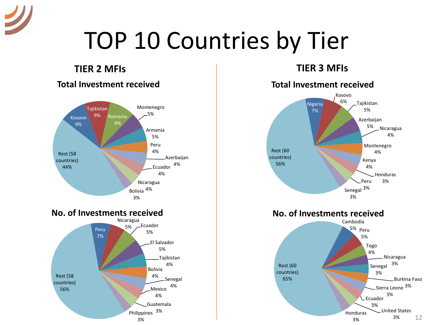

# TOP 10 Countries by Tier

#### **TIER 2 MFIs TIER 3 MFIs**

#### **Total Investment received**





#### **Total Investment received**

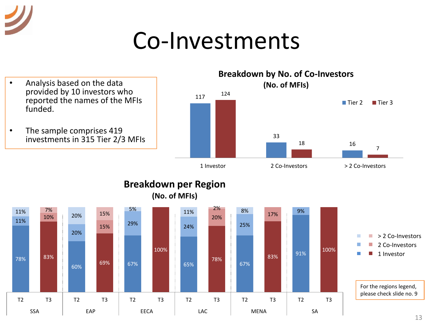### Co-Investments

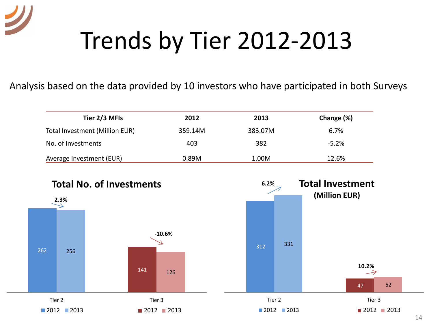# Trends by Tier 2012-2013

Analysis based on the data provided by 10 investors who have participated in both Surveys

| Tier 2/3 MFIs                  | 2012    | 2013    | Change (%) |
|--------------------------------|---------|---------|------------|
| Total Investment (Million EUR) | 359.14M | 383.07M | 6.7%       |
| No. of Investments             | 403     | 382     | $-5.2%$    |
| Average Investment (EUR)       | 0.89M   | 1.00M   | 12.6%      |

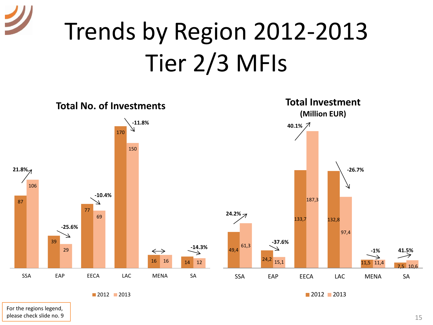# Trends by Region 2012-2013 Tier 2/3 MFIs



For the regions legend, please check slide no. 9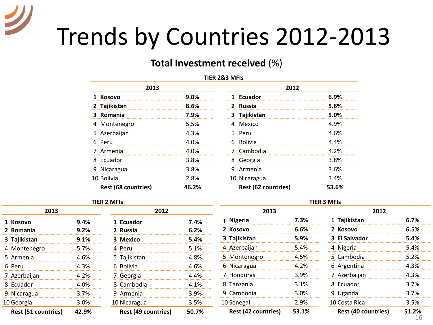# Trends by Countries 2012-2013

#### **Total Investment received** (%)

#### **TIER 2&3 MFIs**

| 2013                       |       | 2012                       |       |
|----------------------------|-------|----------------------------|-------|
| 1 Kosovo                   | 9.0%  | 1 Ecuador                  | 6.9%  |
| 2 Tajikistan               | 8.6%  | 2 Russia                   | 5.6%  |
| Romania<br>З.              | 7.9%  | Tajikistan<br>3.           | 5.0%  |
| 4 Montenegro               | 5.5%  | 4 Mexico                   | 4.9%  |
| 5 Azerbaijan               | 4.3%  | 5 Peru                     | 4.6%  |
| 6 Peru                     | 4.0%  | 6 Bolivia                  | 4.4%  |
| 7 Armenia                  | 4.0%  | 7 Cambodia                 | 4.2%  |
| 8 Ecuador                  | 3.8%  | 8 Georgia                  | 3.8%  |
| 9 Nicaragua                | 3.8%  | Armenia<br>q               | 3.6%  |
| 10 Bolivia                 | 2.8%  | 10 Nicaragua               | 3.4%  |
| <b>Rest (68 countries)</b> | 46.2% | <b>Rest (62 countries)</b> | 53.6% |

#### **TIER 2 MFIs**

| 2013                |       | 2012                       |       |  |  |
|---------------------|-------|----------------------------|-------|--|--|
| 1 Kosovo            | 9.4%  | 1 Ecuador                  | 7.4%  |  |  |
| 2 Romania           | 9.2%  | 2 Russia                   | 6.2%  |  |  |
| 3 Tajikistan        | 9.1%  | 3 Mexico                   | 5.4%  |  |  |
| 4 Montenegro        | 5.7%  | 4 Peru                     | 5.1%  |  |  |
| 5 Armenia           | 4.6%  | 5 Tajikistan               | 4.8%  |  |  |
| 6 Peru              | 4.3%  | 6 Bolivia                  | 4.6%  |  |  |
| 7 Azerbaijan        | 4.2%  | 7 Georgia                  | 4.4%  |  |  |
| 8 Ecuador           | 4.0%  | 8 Cambodia                 | 4.1%  |  |  |
| 9 Nicaragua         | 3.7%  | 9 Armenia                  | 3.9%  |  |  |
| 10 Georgia          | 3.0%  | 10 Nicaragua               | 3.5%  |  |  |
| Rest (51 countries) | 42.9% | <b>Rest (49 countries)</b> | 50.7% |  |  |

| 2013                       |       | 2012                |       |
|----------------------------|-------|---------------------|-------|
| Kosovo                     | 9.0%  | 1 Ecuador           | 6.9%  |
| Tajikistan                 | 8.6%  | 2 Russia            | 5.6%  |
| Romania                    | 7.9%  | 3 Tajikistan        | 5.0%  |
| Montenegro                 | 5.5%  | 4 Mexico            | 4.9%  |
| Azerbaijan                 | 4.3%  | 5 Peru              | 4.6%  |
| Peru                       | 4.0%  | 6 Bolivia           | 4.4%  |
| Armenia                    | 4.0%  | 7 Cambodia          | 4.2%  |
| Ecuador                    | 3.8%  | 8 Georgia           | 3.8%  |
| Nicaragua                  | 3.8%  | 9 Armenia           | 3.6%  |
| Bolivia                    | 2.8%  | 10 Nicaragua        | 3.4%  |
| <b>Rest (68 countries)</b> | 46.2% | Rest (62 countries) | 53.6% |

#### **TIER 3 MFIs**

| 2013                       |       | 2012                       |            |  |
|----------------------------|-------|----------------------------|------------|--|
| 1 Nigeria                  | 7.3%  | 1 Tajikistan               | 6.7%       |  |
| 2 Kosovo                   | 6.6%  | 2 Kosovo                   | 6.5%       |  |
| 3 Tajikistan               | 5.9%  | 3 El Salvador              | 5.4%       |  |
| 4 Azerbaijan               | 5.4%  | 4 Nigeria                  | 5.4%       |  |
| 5 Montenegro               | 4.5%  | 5 Cambodia                 | 5.2%       |  |
| 6 Nicaragua                | 4.2%  | 6 Argentina                | 4.3%       |  |
| 7 Honduras                 | 3.9%  | 7 Azerbaijan               | 4.3%       |  |
| 8 Tanzania                 | 3.1%  | 8 Ecuador                  | 3.7%       |  |
| 9 Cambodia                 | 3.0%  | 9 Uganda                   | 3.7%       |  |
| 10 Senegal                 | 2.9%  | 10 Costa Rica              | 3.5%       |  |
| <b>Rest (42 countries)</b> | 53.1% | <b>Rest (40 countries)</b> | 51.2%<br>h |  |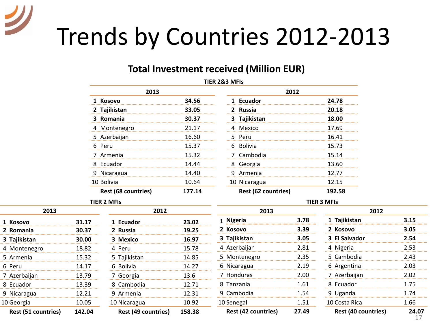# Trends by Countries 2012-2013

7 Azerbaijan 8 Ecuador 9 Nicaragua 10 Georgia

#### **Total Investment received (Million EUR)**

|                     |        |                            |        | TIER 2&3 MFIs              |       |                            |       |
|---------------------|--------|----------------------------|--------|----------------------------|-------|----------------------------|-------|
|                     |        | 2013                       |        |                            | 2012  |                            |       |
|                     |        | 1 Kosovo                   | 34.56  | 1 Ecuador                  |       | 24.78                      |       |
|                     |        | 2 Tajikistan               | 33.05  | 2 Russia                   |       | 20.18                      |       |
|                     |        | 3 Romania                  | 30.37  | 3 Tajikistan               |       | 18.00                      |       |
|                     |        | 4 Montenegro               | 21.17  | 4 Mexico                   |       | 17.69                      |       |
|                     |        | 5 Azerbaijan               | 16.60  | 5 Peru                     |       | 16.41                      |       |
|                     |        | 6 Peru                     | 15.37  | 6 Bolivia                  |       | 15.73                      |       |
|                     |        | 7 Armenia                  | 15.32  | 7 Cambodia                 |       | 15.14                      |       |
|                     |        | 8 Ecuador                  | 14.44  | 8 Georgia                  |       | 13.60                      |       |
|                     |        | 9 Nicaragua                | 14.40  | 9 Armenia                  |       | 12.77                      |       |
|                     |        | 10 Bolivia                 | 10.64  | 10 Nicaragua               |       | 12.15                      |       |
|                     |        | Rest (68 countries)        | 177.14 | Rest (62 countries)        |       | 192.58                     |       |
|                     |        | <b>TIER 2 MFIs</b>         |        |                            |       | <b>TIER 3 MFIs</b>         |       |
| 2013                |        | 2012                       |        | 2013                       |       | 2012                       |       |
| 1 Kosovo            | 31.17  | 1 Ecuador                  | 23.02  | 1 Nigeria                  | 3.78  | 1 Tajikistan               | 3.15  |
| 2 Romania           | 30.37  | 2 Russia                   | 19.25  | 2 Kosovo                   | 3.39  | 2 Kosovo                   | 3.05  |
| 3 Tajikistan        | 30.00  | 3 Mexico                   | 16.97  | 3 Tajikistan               | 3.05  | 3 El Salvador              | 2.54  |
| 4 Montenegro        | 18.82  | 4 Peru                     | 15.78  | 4 Azerbaijan               | 2.81  | 4 Nigeria                  | 2.53  |
| 5 Armenia           | 15.32  | 5 Tajikistan               | 14.85  | 5 Montenegro               | 2.35  | 5 Cambodia                 | 2.43  |
| 6 Peru              | 14.17  | 6 Bolivia                  | 14.27  | 6 Nicaragua                | 2.19  | 6 Argentina                | 2.03  |
| 7 Azerbaijan        | 13.79  | 7 Georgia                  | 13.6   | 7 Honduras                 | 2.00  | 7 Azerbaijan               | 2.02  |
| 8 Ecuador           | 13.39  | 8 Cambodia                 | 12.71  | 8 Tanzania                 | 1.61  | 8 Ecuador                  | 1.75  |
| 9 Nicaragua         | 12.21  | 9 Armenia                  | 12.31  | 9 Cambodia                 | 1.54  | 9 Uganda                   | 1.74  |
| LO Georgia          | 10.05  | 10 Nicaragua               | 10.92  | 10 Senegal                 | 1.51  | 10 Costa Rica              | 1.66  |
| Rest (51 countries) | 142.04 | <b>Rest (49 countries)</b> | 158.38 | <b>Rest (42 countries)</b> | 27.49 | <b>Rest (40 countries)</b> | 24.07 |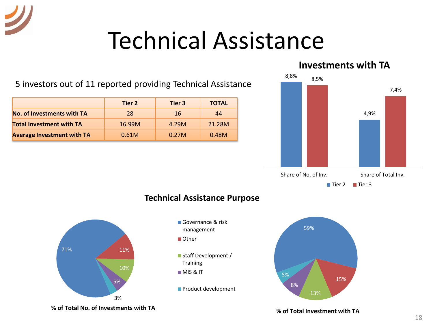### Technical Assistance

**Tier 2 Tier 3 TOTAL No. of Investments with TA** 28 16 16 44 5 investors out of 11 reported providing Technical Assistance

**Total Investment with TA** 16.99M 4.29M 21.28M **Average Investment with TA**  $\begin{array}{|c|c|c|c|c|} \hline \textbf{0.61M} & \textbf{0.27M} & \textbf{0.48M} \hline \end{array}$ 

#### **Investments with TA**





#### **Technical Assistance Purpose**

- Governance & risk management ■ Other
- Staff Development / Training **MIS & IT**
- **Product development**



**% of Total No. of Investments with TA**

**% of Total Investment with TA**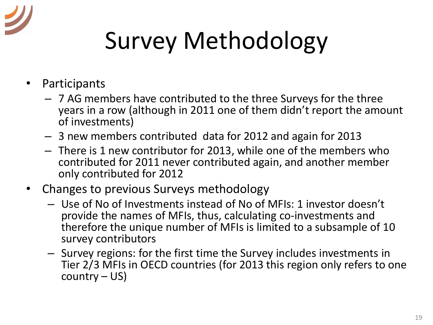

# Survey Methodology

- Participants
	- 7 AG members have contributed to the three Surveys for the three years in a row (although in 2011 one of them didn't report the amount of investments)
	- 3 new members contributed data for 2012 and again for 2013
	- There is 1 new contributor for 2013, while one of the members who contributed for 2011 never contributed again, and another member only contributed for 2012
- Changes to previous Surveys methodology
	- Use of No of Investments instead of No of MFIs: 1 investor doesn't provide the names of MFIs, thus, calculating co-investments and therefore the unique number of MFIs is limited to a subsample of 10 survey contributors
	- Survey regions: for the first time the Survey includes investments in Tier 2/3 MFIs in OECD countries (for 2013 this region only refers to one country – US)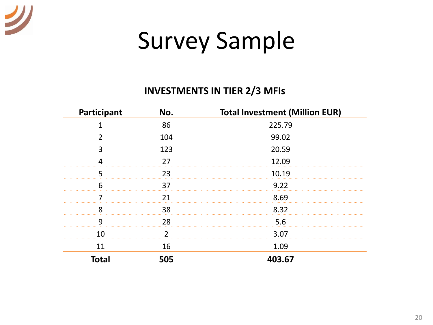

# Survey Sample

#### **INVESTMENTS IN TIER 2/3 MFIs**

| Participant  | No. | <b>Total Investment (Million EUR)</b> |
|--------------|-----|---------------------------------------|
|              | 86  | 225.79                                |
|              | 104 | 99.02                                 |
| 3            | 123 | 20.59                                 |
|              | 27  | 12.09                                 |
|              | 23  | 10.19                                 |
|              | 37  | 9.22                                  |
|              | 21  | 8.69                                  |
| ጸ            | 38  | 8.32                                  |
| q            | 28  | 5.6                                   |
| 10           |     | 3.07                                  |
| 11           | 16  | 1.09                                  |
| <b>Total</b> | 505 | 403.67                                |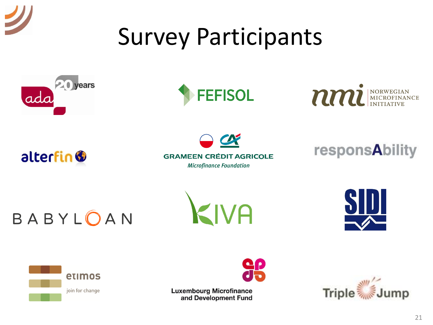# Survey Participants









 $\boldsymbol{\alpha}$ **GRAMEEN CRÉDIT AGRICOLE Microfinance Foundation** 



BABYLOAN







**Luxembourg Microfinance** and Development Fund